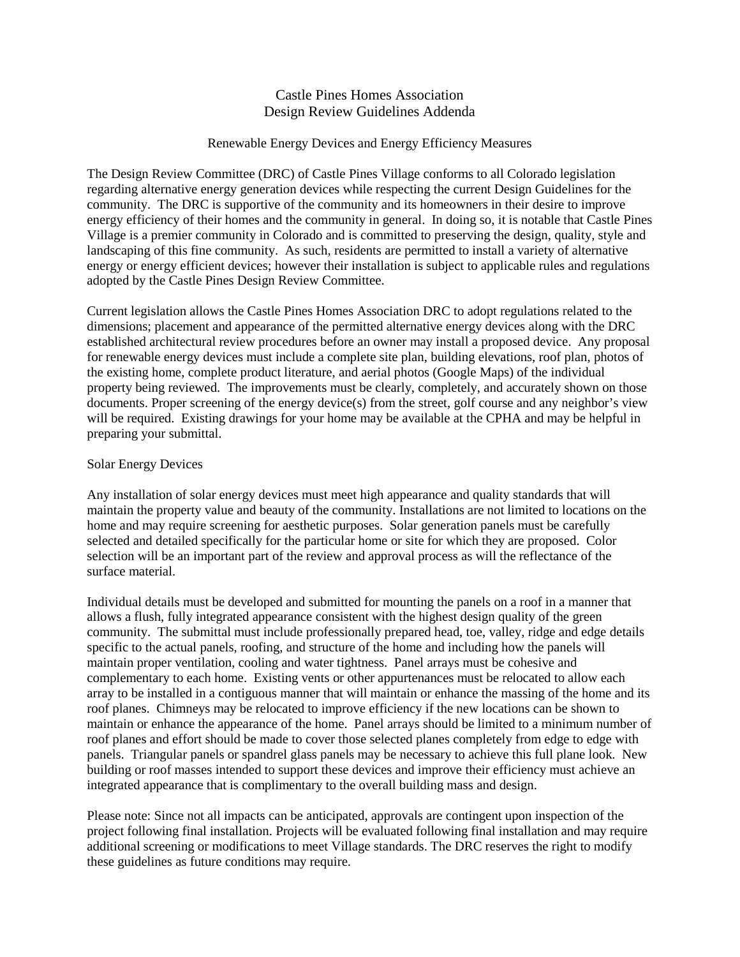## Castle Pines Homes Association Design Review Guidelines Addenda

## Renewable Energy Devices and Energy Efficiency Measures

The Design Review Committee (DRC) of Castle Pines Village conforms to all Colorado legislation regarding alternative energy generation devices while respecting the current Design Guidelines for the community. The DRC is supportive of the community and its homeowners in their desire to improve energy efficiency of their homes and the community in general. In doing so, it is notable that Castle Pines Village is a premier community in Colorado and is committed to preserving the design, quality, style and landscaping of this fine community. As such, residents are permitted to install a variety of alternative energy or energy efficient devices; however their installation is subject to applicable rules and regulations adopted by the Castle Pines Design Review Committee.

Current legislation allows the Castle Pines Homes Association DRC to adopt regulations related to the dimensions; placement and appearance of the permitted alternative energy devices along with the DRC established architectural review procedures before an owner may install a proposed device. Any proposal for renewable energy devices must include a complete site plan, building elevations, roof plan, photos of the existing home, complete product literature, and aerial photos (Google Maps) of the individual property being reviewed. The improvements must be clearly, completely, and accurately shown on those documents. Proper screening of the energy device(s) from the street, golf course and any neighbor's view will be required. Existing drawings for your home may be available at the CPHA and may be helpful in preparing your submittal.

## Solar Energy Devices

Any installation of solar energy devices must meet high appearance and quality standards that will maintain the property value and beauty of the community. Installations are not limited to locations on the home and may require screening for aesthetic purposes. Solar generation panels must be carefully selected and detailed specifically for the particular home or site for which they are proposed. Color selection will be an important part of the review and approval process as will the reflectance of the surface material.

Individual details must be developed and submitted for mounting the panels on a roof in a manner that allows a flush, fully integrated appearance consistent with the highest design quality of the green community. The submittal must include professionally prepared head, toe, valley, ridge and edge details specific to the actual panels, roofing, and structure of the home and including how the panels will maintain proper ventilation, cooling and water tightness. Panel arrays must be cohesive and complementary to each home. Existing vents or other appurtenances must be relocated to allow each array to be installed in a contiguous manner that will maintain or enhance the massing of the home and its roof planes. Chimneys may be relocated to improve efficiency if the new locations can be shown to maintain or enhance the appearance of the home. Panel arrays should be limited to a minimum number of roof planes and effort should be made to cover those selected planes completely from edge to edge with panels. Triangular panels or spandrel glass panels may be necessary to achieve this full plane look. New building or roof masses intended to support these devices and improve their efficiency must achieve an integrated appearance that is complimentary to the overall building mass and design.

Please note: Since not all impacts can be anticipated, approvals are contingent upon inspection of the project following final installation. Projects will be evaluated following final installation and may require additional screening or modifications to meet Village standards. The DRC reserves the right to modify these guidelines as future conditions may require.